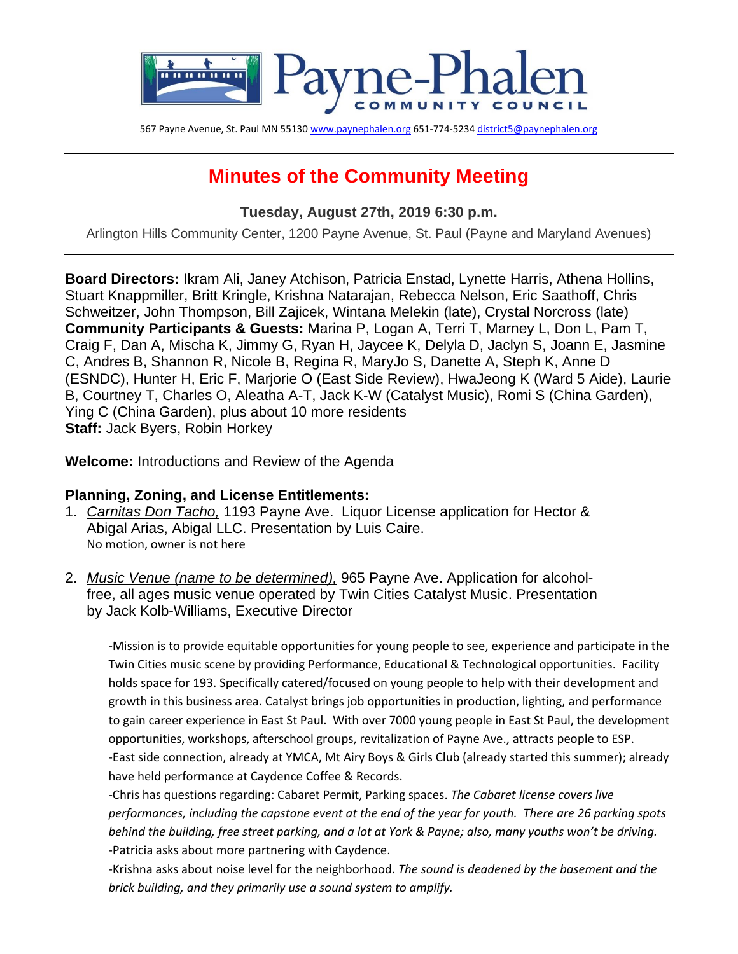

567 Payne Avenue, St. Paul MN 5513[0 www.paynephalen.org](http://www.paynephalen.org/) 651-774-523[4 district5@paynephalen.org](mailto:district5@paynephalen.org)

# **Minutes of the Community Meeting**

**Tuesday, August 27th, 2019 6:30 p.m.**

Arlington Hills Community Center, 1200 Payne Avenue, St. Paul (Payne and Maryland Avenues)

**Board Directors:** Ikram Ali, Janey Atchison, Patricia Enstad, Lynette Harris, Athena Hollins, Stuart Knappmiller, Britt Kringle, Krishna Natarajan, Rebecca Nelson, Eric Saathoff, Chris Schweitzer, John Thompson, Bill Zajicek, Wintana Melekin (late), Crystal Norcross (late) **Community Participants & Guests:** Marina P, Logan A, Terri T, Marney L, Don L, Pam T, Craig F, Dan A, Mischa K, Jimmy G, Ryan H, Jaycee K, Delyla D, Jaclyn S, Joann E, Jasmine C, Andres B, Shannon R, Nicole B, Regina R, MaryJo S, Danette A, Steph K, Anne D (ESNDC), Hunter H, Eric F, Marjorie O (East Side Review), HwaJeong K (Ward 5 Aide), Laurie B, Courtney T, Charles O, Aleatha A-T, Jack K-W (Catalyst Music), Romi S (China Garden), Ying C (China Garden), plus about 10 more residents **Staff:** Jack Byers, Robin Horkey

**Welcome:** Introductions and Review of the Agenda

### **Planning, Zoning, and License Entitlements:**

- 1. *Carnitas Don Tacho,* 1193 Payne Ave. Liquor License application for Hector & Abigal Arias, Abigal LLC. Presentation by Luis Caire. No motion, owner is not here
- 2. *Music Venue (name to be determined),* 965 Payne Ave. Application for alcoholfree, all ages music venue operated by Twin Cities Catalyst Music. Presentation by Jack Kolb-Williams, Executive Director

-Mission is to provide equitable opportunities for young people to see, experience and participate in the Twin Cities music scene by providing Performance, Educational & Technological opportunities. Facility holds space for 193. Specifically catered/focused on young people to help with their development and growth in this business area. Catalyst brings job opportunities in production, lighting, and performance to gain career experience in East St Paul. With over 7000 young people in East St Paul, the development opportunities, workshops, afterschool groups, revitalization of Payne Ave., attracts people to ESP. -East side connection, already at YMCA, Mt Airy Boys & Girls Club (already started this summer); already have held performance at Caydence Coffee & Records.

-Chris has questions regarding: Cabaret Permit, Parking spaces. *The Cabaret license covers live performances, including the capstone event at the end of the year for youth. There are 26 parking spots behind the building, free street parking, and a lot at York & Payne; also, many youths won't be driving.* -Patricia asks about more partnering with Caydence.

-Krishna asks about noise level for the neighborhood. *The sound is deadened by the basement and the brick building, and they primarily use a sound system to amplify.*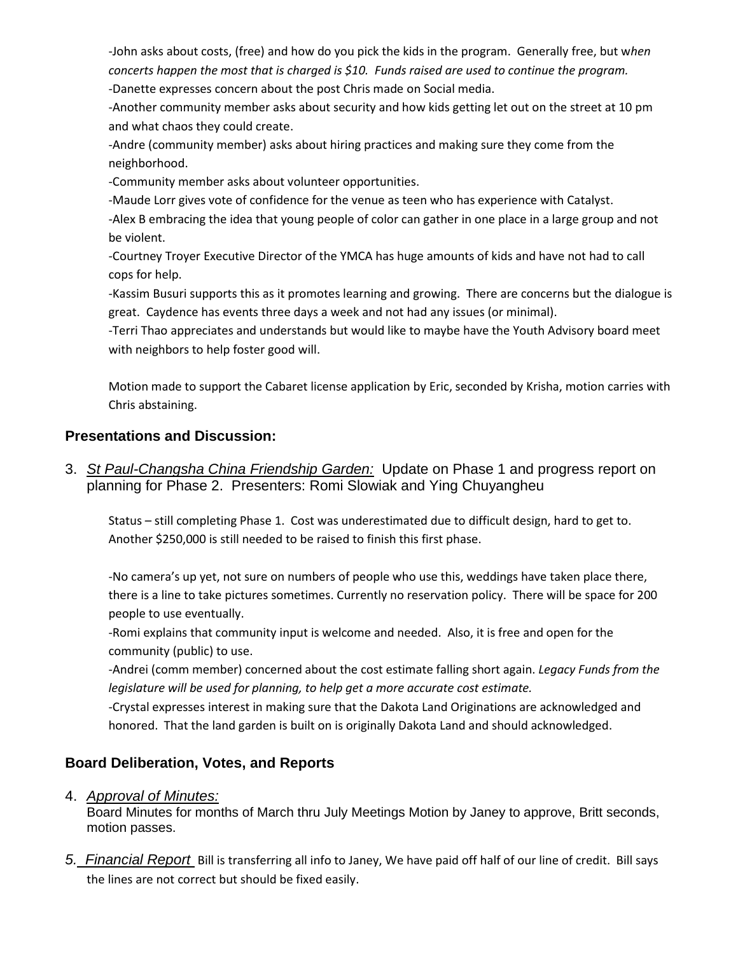-John asks about costs, (free) and how do you pick the kids in the program. Generally free, but w*hen concerts happen the most that is charged is \$10. Funds raised are used to continue the program.* -Danette expresses concern about the post Chris made on Social media.

-Another community member asks about security and how kids getting let out on the street at 10 pm and what chaos they could create.

-Andre (community member) asks about hiring practices and making sure they come from the neighborhood.

-Community member asks about volunteer opportunities.

-Maude Lorr gives vote of confidence for the venue as teen who has experience with Catalyst.

-Alex B embracing the idea that young people of color can gather in one place in a large group and not be violent.

-Courtney Troyer Executive Director of the YMCA has huge amounts of kids and have not had to call cops for help.

-Kassim Busuri supports this as it promotes learning and growing. There are concerns but the dialogue is great. Caydence has events three days a week and not had any issues (or minimal).

-Terri Thao appreciates and understands but would like to maybe have the Youth Advisory board meet with neighbors to help foster good will.

Motion made to support the Cabaret license application by Eric, seconded by Krisha, motion carries with Chris abstaining.

## **Presentations and Discussion:**

3. *St Paul-Changsha China Friendship Garden:* Update on Phase 1 and progress report on planning for Phase 2. Presenters: Romi Slowiak and Ying Chuyangheu

Status – still completing Phase 1. Cost was underestimated due to difficult design, hard to get to. Another \$250,000 is still needed to be raised to finish this first phase.

-No camera's up yet, not sure on numbers of people who use this, weddings have taken place there, there is a line to take pictures sometimes. Currently no reservation policy. There will be space for 200 people to use eventually.

-Romi explains that community input is welcome and needed. Also, it is free and open for the community (public) to use.

-Andrei (comm member) concerned about the cost estimate falling short again. *Legacy Funds from the legislature will be used for planning, to help get a more accurate cost estimate.*

-Crystal expresses interest in making sure that the Dakota Land Originations are acknowledged and honored. That the land garden is built on is originally Dakota Land and should acknowledged.

# **Board Deliberation, Votes, and Reports**

### 4. *Approval of Minutes:*

Board Minutes for months of March thru July Meetings Motion by Janey to approve, Britt seconds, motion passes.

*5. Financial Report* Bill is transferring all info to Janey, We have paid off half of our line of credit. Bill says the lines are not correct but should be fixed easily.